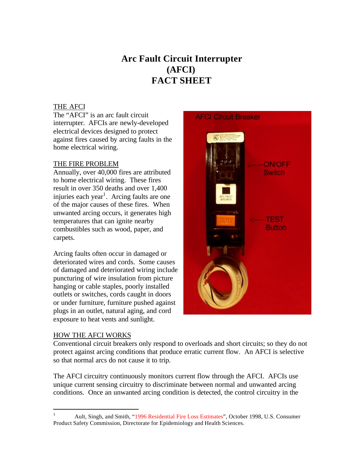# **Arc Fault Circuit Interrupter (AFCI) FACT SHEET**

### THE AFCI

The "AFCI" is an arc fault circuit interrupter. AFCIs are newly-developed electrical devices designed to protect against fires caused by arcing faults in the home electrical wiring.

### THE FIRE PROBLEM

Annually, over 40,000 fires are attributed to home electrical wiring. These fires result in over 350 deaths and over 1,400 injuries each year<sup>1</sup>. Arcing faults are one of the major causes of these fires. When unwanted arcing occurs, it generates high temperatures that can ignite nearby combustibles such as wood, paper, and carpets.

Arcing faults often occur in damaged or deteriorated wires and cords. Some causes of damaged and deteriorated wiring include puncturing of wire insulation from picture hanging or cable staples, poorly installed outlets or switches, cords caught in doors or under furniture, furniture pushed against plugs in an outlet, natural aging, and cord exposure to heat vents and sunlight.

**AFCI Circuit Breaker** 

Switch

**Button** 

#### HOW THE AFCI WORKS

Conventional circuit breakers only respond to overloads and short circuits; so they do not protect against arcing conditions that produce erratic current flow. An AFCI is selective so that normal arcs do not cause it to trip.

The AFCI circuitry continuously monitors current flow through the AFCI. AFCIs use unique current sensing circuitry to discriminate between normal and unwanted arcing conditions. Once an unwanted arcing condition is detected, the control circuitry in the

 $\mathbf{1}$ <sup>1</sup> Ault, Singh, and Smith, "[1996 Residential Fire Loss Estimates"](http://www.cpsc.gov/library/fire96.pdf), October 1998, U.S. Consumer Product Safety Commission, Directorate for Epidemiology and Health Sciences.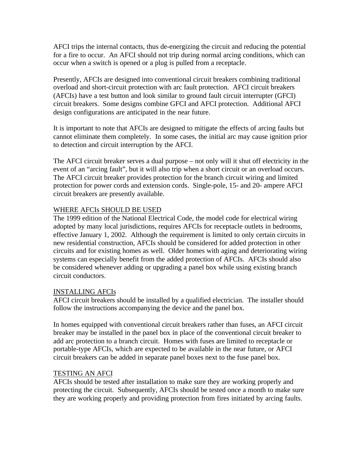AFCI trips the internal contacts, thus de-energizing the circuit and reducing the potential for a fire to occur. An AFCI should not trip during normal arcing conditions, which can occur when a switch is opened or a plug is pulled from a receptacle.

Presently, AFCIs are designed into conventional circuit breakers combining traditional overload and short-circuit protection with arc fault protection. AFCI circuit breakers (AFCIs) have a test button and look similar to ground fault circuit interrupter (GFCI) circuit breakers. Some designs combine GFCI and AFCI protection. Additional AFCI design configurations are anticipated in the near future.

It is important to note that AFCIs are designed to mitigate the effects of arcing faults but cannot eliminate them completely. In some cases, the initial arc may cause ignition prior to detection and circuit interruption by the AFCI.

The AFCI circuit breaker serves a dual purpose – not only will it shut off electricity in the event of an "arcing fault", but it will also trip when a short circuit or an overload occurs. The AFCI circuit breaker provides protection for the branch circuit wiring and limited protection for power cords and extension cords. Single-pole, 15- and 20- ampere AFCI circuit breakers are presently available.

# WHERE AFCIs SHOULD BE USED

The 1999 edition of the National Electrical Code, the model code for electrical wiring adopted by many local jurisdictions, requires AFCIs for receptacle outlets in bedrooms, effective January 1, 2002. Although the requirement is limited to only certain circuits in new residential construction, AFCIs should be considered for added protection in other circuits and for existing homes as well. Older homes with aging and deteriorating wiring systems can especially benefit from the added protection of AFCIs. AFCIs should also be considered whenever adding or upgrading a panel box while using existing branch circuit conductors.

# INSTALLING AFCIs

AFCI circuit breakers should be installed by a qualified electrician. The installer should follow the instructions accompanying the device and the panel box.

In homes equipped with conventional circuit breakers rather than fuses, an AFCI circuit breaker may be installed in the panel box in place of the conventional circuit breaker to add arc protection to a branch circuit. Homes with fuses are limited to receptacle or portable-type AFCIs, which are expected to be available in the near future, or AFCI circuit breakers can be added in separate panel boxes next to the fuse panel box.

# TESTING AN AFCI

AFCIs should be tested after installation to make sure they are working properly and protecting the circuit. Subsequently, AFCIs should be tested once a month to make sure they are working properly and providing protection from fires initiated by arcing faults.